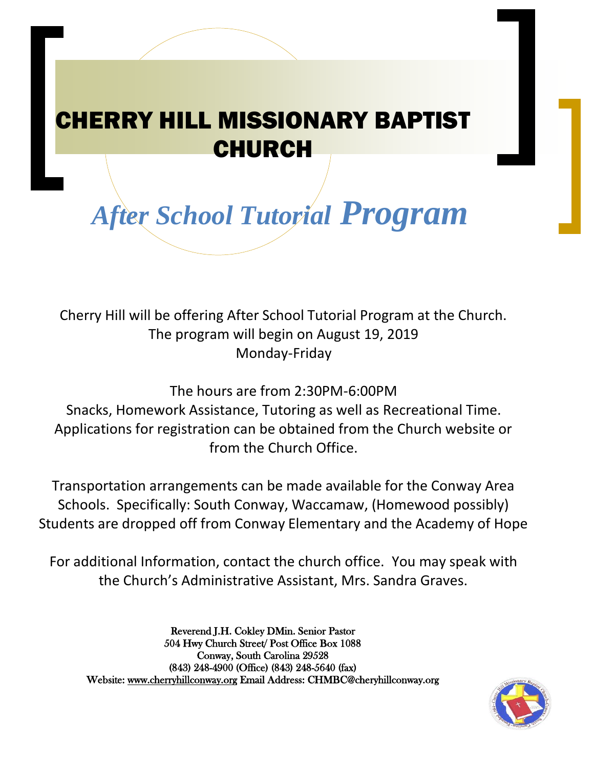## CHERRY HILL MISSIONARY BAPTIST CHURCH

 *After School Tutorial Program*

Cherry Hill will be offering After School Tutorial Program at the Church. The program will begin on August 19, 2019 Monday-Friday

The hours are from 2:30PM-6:00PM

Snacks, Homework Assistance, Tutoring as well as Recreational Time. Applications for registration can be obtained from the Church website or from the Church Office.

Transportation arrangements can be made available for the Conway Area Schools. Specifically: South Conway, Waccamaw, (Homewood possibly) Students are dropped off from Conway Elementary and the Academy of Hope

For additional Information, contact the church office. You may speak with the Church's Administrative Assistant, Mrs. Sandra Graves.

Reverend J.H. Cokley DMin. Senior Pastor 504 Hwy Church Street/ Post Office Box 1088 Conway, South Carolina 29528 (843) 248-4900 (Office) (843) 248-5640 (fax) Website: [www.cherryhillconway.org](http://www.cherryhillconway.org/) Email Address: CHMBC@cheryhillconway.org